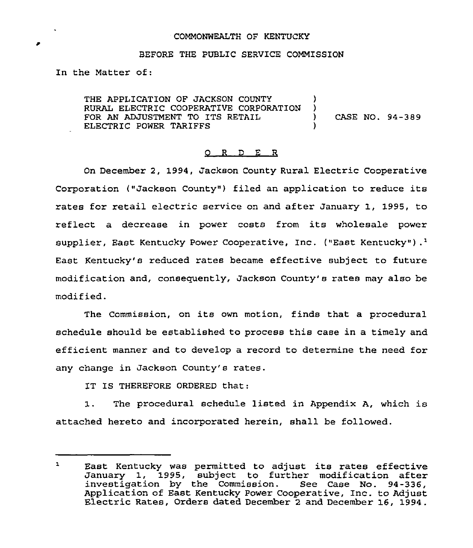### COMMONWEALTH OF KENTUCKY

#### BEFORE THE PUBLIC SERVICE COMMISSION

In the Matter of:

THE APPLICATION OF JACKSON COUNTY RURAL ELECTRIC COOPERATIVE CORPORATION ) FOR AN ADJUSTMENT TO ITS RETAIL ) CASE NO. 94-389 ELECTRIC POWER TARIFFS

#### 0 R <sup>D</sup> E R

On December 2, 1994, Jackson County Rural Electric Cooperative Corporation ("Jackson County") filed an application to reduce its rates for retail electric service on and after January 1, 1995, to reflect a decrease in power costs from its wholesale power supplier, East Kentucky Power Cooperative, Inc. ("East Kentucky").<sup>1</sup> Kentucky's reduced rates became effective subject to futur modification and, consequently, Jackson County's rates may also be modi fied.

The Commission, on its own motion, finds that a procedural schedule should be established to process this case in a timely and efficient manner and to develop a record to determine the need for any change in Jackson County's rates.

IT IS THEREFORE ORDERED that:

1. The procedural schedule listed in Appendix A, which is attached hereto and incorporated herein, shall be followed.

 $\mathbf{1}$ East Kentucky was permitted to adjust its rates effective January 1, 1995, subject to further modification after investigation by the Commission. See Case No. 94-336, Application of East Kentucky Power Cooperative, Inc. to Adjust Electric Rates, Orders dated December <sup>2</sup> and December 16, 1994.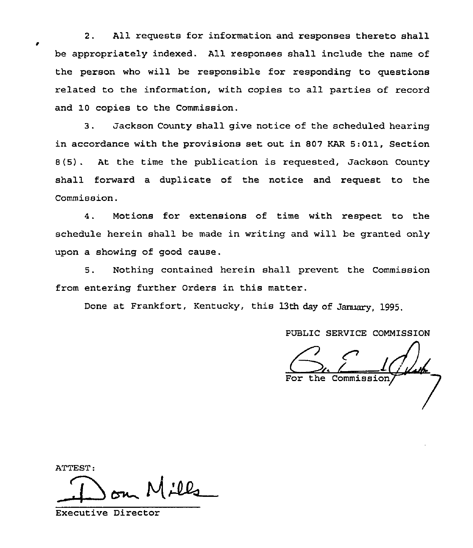2. All requests for information and responses thereto shall be appropriately indexed. All responses shall include the name of the person who will be responsible for responding to questions related to the information, with copies to all parties of record and 10 copies to the Commission.

3. Jackson County shall give notice of the scheduled hearing in accordance with the provisions set out in 807 KAR 5:011, Section 8(5) . At the time the publication is requested, Jackson County shall forward a duplicate of the notice and request to the Commission.

4. Motions for extensions of time with respect to the schedule herein shall be made in writing and will be granted only upon a showing of good cause.

5. Nothing contained herein shall prevent the Commission from entering further Orders in this matter.

Done at Frankfort, Kentucky, this 13th day of January, 1995,

PDBLIC SERVICE COMMISSION

For the Commi

ATTEST:  $M$ ill

Executive Director